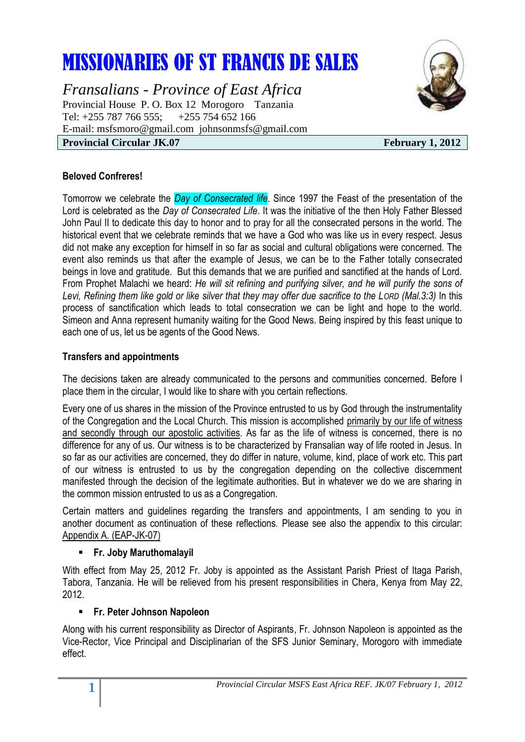# MISSIONARIES OF ST FRANCIS DE SALES

*Fransalians - Province of East Africa* Provincial House P. O. Box 12 Morogoro Tanzania Tel: +255 787 766 555; +255 754 652 166 E-mail: [msfsmoro@gmail.com](mailto:msfsmoro@gmail.com) johnsonmsfs@gmail.com **Provincial Circular JK.07** February 1, 2012



## **Beloved Confreres!**

Tomorrow we celebrate the *Day of Consecrated life*. Since 1997 the Feast of the presentation of the Lord is celebrated as the *Day of Consecrated Life*. It was the initiative of the then Holy Father Blessed John Paul II to dedicate this day to honor and to pray for all the consecrated persons in the world. The historical event that we celebrate reminds that we have a God who was like us in every respect. Jesus did not make any exception for himself in so far as social and cultural obligations were concerned. The event also reminds us that after the example of Jesus, we can be to the Father totally consecrated beings in love and gratitude. But this demands that we are purified and sanctified at the hands of Lord. From Prophet Malachi we heard: *He will sit refining and purifying silver, and he will purify the sons of Levi, Refining them like gold or like silver that they may offer due sacrifice to the LORD (Mal.3:3)* In this process of sanctification which leads to total consecration we can be light and hope to the world. Simeon and Anna represent humanity waiting for the Good News. Being inspired by this feast unique to each one of us, let us be agents of the Good News.

#### **Transfers and appointments**

The decisions taken are already communicated to the persons and communities concerned. Before I place them in the circular, I would like to share with you certain reflections.

Every one of us shares in the mission of the Province entrusted to us by God through the instrumentality of the Congregation and the Local Church. This mission is accomplished primarily by our life of witness and secondly through our apostolic activities. As far as the life of witness is concerned, there is no difference for any of us. Our witness is to be characterized by Fransalian way of life rooted in Jesus. In so far as our activities are concerned, they do differ in nature, volume, kind, place of work etc. This part of our witness is entrusted to us by the congregation depending on the collective discernment manifested through the decision of the legitimate authorities. But in whatever we do we are sharing in the common mission entrusted to us as a Congregation.

Certain matters and guidelines regarding the transfers and appointments, I am sending to you in another document as continuation of these reflections. Please see also the appendix to this circular: Appendix A. (EAP-JK-07)

#### **Fr. Joby Maruthomalayil**

With effect from May 25, 2012 Fr. Joby is appointed as the Assistant Parish Priest of Itaga Parish, Tabora, Tanzania. He will be relieved from his present responsibilities in Chera, Kenya from May 22, 2012.

# **Fr. Peter Johnson Napoleon**

Along with his current responsibility as Director of Aspirants, Fr. Johnson Napoleon is appointed as the Vice-Rector, Vice Principal and Disciplinarian of the SFS Junior Seminary, Morogoro with immediate effect.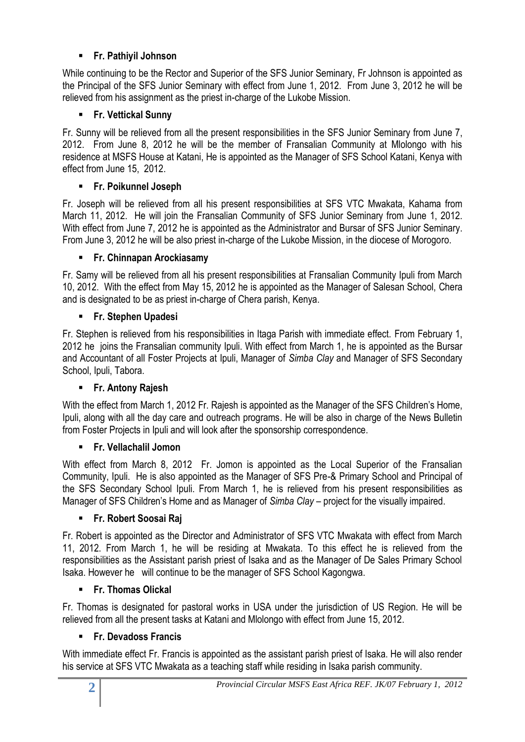# **Fr. Pathiyil Johnson**

While continuing to be the Rector and Superior of the SFS Junior Seminary, Fr Johnson is appointed as the Principal of the SFS Junior Seminary with effect from June 1, 2012. From June 3, 2012 he will be relieved from his assignment as the priest in-charge of the Lukobe Mission.

# **Fr. Vettickal Sunny**

Fr. Sunny will be relieved from all the present responsibilities in the SFS Junior Seminary from June 7, 2012. From June 8, 2012 he will be the member of Fransalian Community at Mlolongo with his residence at MSFS House at Katani, He is appointed as the Manager of SFS School Katani, Kenya with effect from June 15, 2012.

# **Fr. Poikunnel Joseph**

Fr. Joseph will be relieved from all his present responsibilities at SFS VTC Mwakata, Kahama from March 11, 2012. He will join the Fransalian Community of SFS Junior Seminary from June 1, 2012. With effect from June 7, 2012 he is appointed as the Administrator and Bursar of SFS Junior Seminary. From June 3, 2012 he will be also priest in-charge of the Lukobe Mission, in the diocese of Morogoro.

# **Fr. Chinnapan Arockiasamy**

Fr. Samy will be relieved from all his present responsibilities at Fransalian Community Ipuli from March 10, 2012. With the effect from May 15, 2012 he is appointed as the Manager of Salesan School, Chera and is designated to be as priest in-charge of Chera parish, Kenya.

# **Fr. Stephen Upadesi**

Fr. Stephen is relieved from his responsibilities in Itaga Parish with immediate effect. From February 1, 2012 he joins the Fransalian community Ipuli. With effect from March 1, he is appointed as the Bursar and Accountant of all Foster Projects at Ipuli, Manager of *Simba Clay* and Manager of SFS Secondary School, Ipuli, Tabora.

# **Fr. Antony Rajesh**

With the effect from March 1, 2012 Fr. Rajesh is appointed as the Manager of the SFS Children's Home, Ipuli, along with all the day care and outreach programs. He will be also in charge of the News Bulletin from Foster Projects in Ipuli and will look after the sponsorship correspondence.

# **Fr. Vellachalil Jomon**

With effect from March 8, 2012 Fr. Jomon is appointed as the Local Superior of the Fransalian Community, Ipuli. He is also appointed as the Manager of SFS Pre-& Primary School and Principal of the SFS Secondary School Ipuli. From March 1, he is relieved from his present responsibilities as Manager of SFS Children's Home and as Manager of *Simba Clay* – project for the visually impaired.

# **Fr. Robert Soosai Raj**

Fr. Robert is appointed as the Director and Administrator of SFS VTC Mwakata with effect from March 11, 2012. From March 1, he will be residing at Mwakata. To this effect he is relieved from the responsibilities as the Assistant parish priest of Isaka and as the Manager of De Sales Primary School Isaka. However he will continue to be the manager of SFS School Kagongwa.

# **Fr. Thomas Olickal**

Fr. Thomas is designated for pastoral works in USA under the jurisdiction of US Region. He will be relieved from all the present tasks at Katani and Mlolongo with effect from June 15, 2012.

# **Fr. Devadoss Francis**

With immediate effect Fr. Francis is appointed as the assistant parish priest of Isaka. He will also render his service at SFS VTC Mwakata as a teaching staff while residing in Isaka parish community.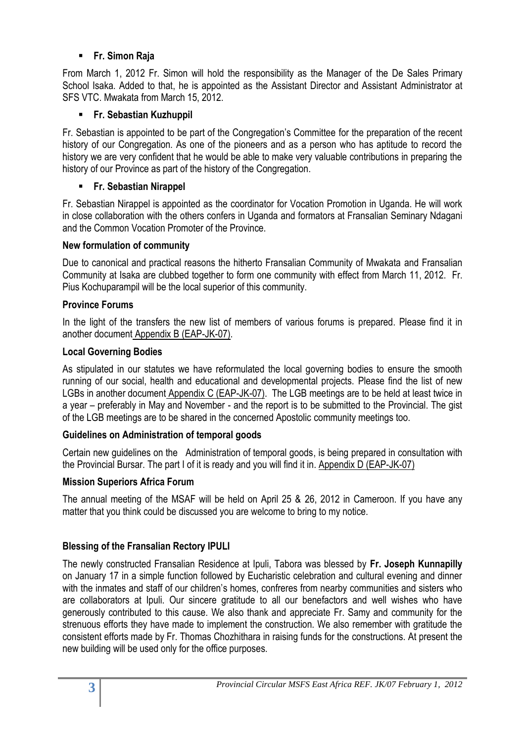# **Fr. Simon Raja**

From March 1, 2012 Fr. Simon will hold the responsibility as the Manager of the De Sales Primary School Isaka. Added to that, he is appointed as the Assistant Director and Assistant Administrator at SFS VTC. Mwakata from March 15, 2012.

# **Fr. Sebastian Kuzhuppil**

Fr. Sebastian is appointed to be part of the Congregation's Committee for the preparation of the recent history of our Congregation. As one of the pioneers and as a person who has aptitude to record the history we are very confident that he would be able to make very valuable contributions in preparing the history of our Province as part of the history of the Congregation.

# **Fr. Sebastian Nirappel**

Fr. Sebastian Nirappel is appointed as the coordinator for Vocation Promotion in Uganda. He will work in close collaboration with the others confers in Uganda and formators at Fransalian Seminary Ndagani and the Common Vocation Promoter of the Province.

# **New formulation of community**

Due to canonical and practical reasons the hitherto Fransalian Community of Mwakata and Fransalian Community at Isaka are clubbed together to form one community with effect from March 11, 2012. Fr. Pius Kochuparampil will be the local superior of this community.

# **Province Forums**

In the light of the transfers the new list of members of various forums is prepared. Please find it in another document Appendix B (EAP-JK-07).

# **Local Governing Bodies**

As stipulated in our statutes we have reformulated the local governing bodies to ensure the smooth running of our social, health and educational and developmental projects. Please find the list of new LGBs in another document Appendix C (EAP-JK-07). The LGB meetings are to be held at least twice in a year – preferably in May and November - and the report is to be submitted to the Provincial. The gist of the LGB meetings are to be shared in the concerned Apostolic community meetings too.

# **Guidelines on Administration of temporal goods**

Certain new guidelines on the Administration of temporal goods, is being prepared in consultation with the Provincial Bursar. The part I of it is ready and you will find it in. Appendix D (EAP-JK-07)

# **Mission Superiors Africa Forum**

The annual meeting of the MSAF will be held on April 25 & 26, 2012 in Cameroon. If you have any matter that you think could be discussed you are welcome to bring to my notice.

# **Blessing of the Fransalian Rectory IPULI**

The newly constructed Fransalian Residence at Ipuli, Tabora was blessed by **Fr. Joseph Kunnapilly**  on January 17 in a simple function followed by Eucharistic celebration and cultural evening and dinner with the inmates and staff of our children's homes, confreres from nearby communities and sisters who are collaborators at Ipuli. Our sincere gratitude to all our benefactors and well wishes who have generously contributed to this cause. We also thank and appreciate Fr. Samy and community for the strenuous efforts they have made to implement the construction. We also remember with gratitude the consistent efforts made by Fr. Thomas Chozhithara in raising funds for the constructions. At present the new building will be used only for the office purposes.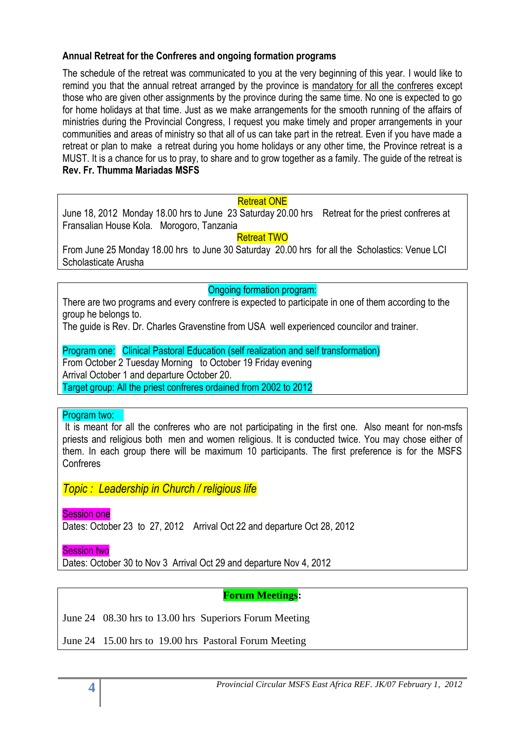## **Annual Retreat for the Confreres and ongoing formation programs**

The schedule of the retreat was communicated to you at the very beginning of this year. I would like to remind you that the annual retreat arranged by the province is mandatory for all the confreres except those who are given other assignments by the province during the same time. No one is expected to go for home holidays at that time. Just as we make arrangements for the smooth running of the affairs of ministries during the Provincial Congress, I request you make timely and proper arrangements in your communities and areas of ministry so that all of us can take part in the retreat. Even if you have made a retreat or plan to make a retreat during you home holidays or any other time, the Province retreat is a MUST. It is a chance for us to pray, to share and to grow together as a family. The guide of the retreat is **Rev. Fr. Thumma Mariadas MSFS**

#### Retreat ONE

June 18, 2012 Monday 18.00 hrs to June 23 Saturday 20.00 hrs Retreat for the priest confreres at Fransalian House Kola. Morogoro, Tanzania

Retreat TWO

From June 25 Monday 18.00 hrs to June 30 Saturday 20.00 hrs for all the Scholastics: Venue LCI Scholasticate Arusha

#### Ongoing formation program:

There are two programs and every confrere is expected to participate in one of them according to the group he belongs to.

The guide is Rev. Dr. Charles Gravenstine from USA well experienced councilor and trainer.

Program one: Clinical Pastoral Education (self realization and self transformation) From October 2 Tuesday Morning to October 19 Friday evening Arrival October 1 and departure October 20. Target group: All the priest confreres ordained from 2002 to 2012

#### Program two:

It is meant for all the confreres who are not participating in the first one. Also meant for non-msfs priests and religious both men and women religious. It is conducted twice. You may chose either of them. In each group there will be maximum 10 participants. The first preference is for the MSFS Confreres

*Topic : Leadership in Church / religious life* 

Session one

Dates: October 23 to 27, 2012 Arrival Oct 22 and departure Oct 28, 2012

Session two

Dates: October 30 to Nov 3 Arrival Oct 29 and departure Nov 4, 2012

#### **Forum Meetings:**

June 24 08.30 hrs to 13.00 hrs Superiors Forum Meeting

June 24 15.00 hrs to 19.00 hrs Pastoral Forum Meeting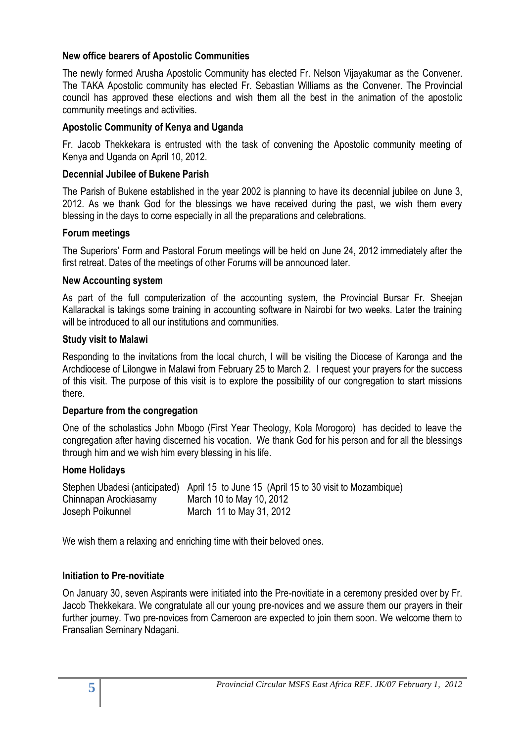#### **New office bearers of Apostolic Communities**

The newly formed Arusha Apostolic Community has elected Fr. Nelson Vijayakumar as the Convener. The TAKA Apostolic community has elected Fr. Sebastian Williams as the Convener. The Provincial council has approved these elections and wish them all the best in the animation of the apostolic community meetings and activities.

## **Apostolic Community of Kenya and Uganda**

Fr. Jacob Thekkekara is entrusted with the task of convening the Apostolic community meeting of Kenya and Uganda on April 10, 2012.

## **Decennial Jubilee of Bukene Parish**

The Parish of Bukene established in the year 2002 is planning to have its decennial jubilee on June 3, 2012. As we thank God for the blessings we have received during the past, we wish them every blessing in the days to come especially in all the preparations and celebrations.

#### **Forum meetings**

The Superiors' Form and Pastoral Forum meetings will be held on June 24, 2012 immediately after the first retreat. Dates of the meetings of other Forums will be announced later.

## **New Accounting system**

As part of the full computerization of the accounting system, the Provincial Bursar Fr. Sheejan Kallarackal is takings some training in accounting software in Nairobi for two weeks. Later the training will be introduced to all our institutions and communities.

## **Study visit to Malawi**

Responding to the invitations from the local church, I will be visiting the Diocese of Karonga and the Archdiocese of Lilongwe in Malawi from February 25 to March 2. I request your prayers for the success of this visit. The purpose of this visit is to explore the possibility of our congregation to start missions there.

#### **Departure from the congregation**

One of the scholastics John Mbogo (First Year Theology, Kola Morogoro) has decided to leave the congregation after having discerned his vocation. We thank God for his person and for all the blessings through him and we wish him every blessing in his life.

#### **Home Holidays**

|                       | Stephen Ubadesi (anticipated) April 15 to June 15 (April 15 to 30 visit to Mozambique) |
|-----------------------|----------------------------------------------------------------------------------------|
| Chinnapan Arockiasamy | March 10 to May 10, 2012                                                               |
| Joseph Poikunnel      | March 11 to May 31, 2012                                                               |

We wish them a relaxing and enriching time with their beloved ones.

# **Initiation to Pre-novitiate**

On January 30, seven Aspirants were initiated into the Pre-novitiate in a ceremony presided over by Fr. Jacob Thekkekara. We congratulate all our young pre-novices and we assure them our prayers in their further journey. Two pre-novices from Cameroon are expected to join them soon. We welcome them to Fransalian Seminary Ndagani.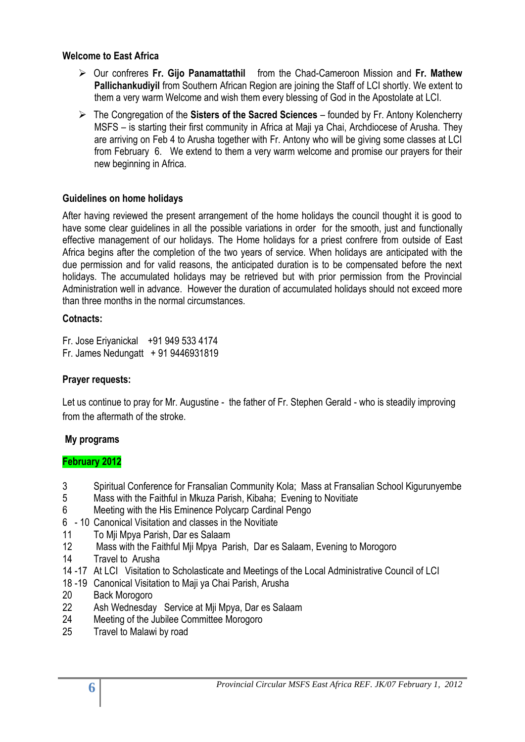## **Welcome to East Africa**

- Our confreres **Fr. Gijo Panamattathil** from the Chad-Cameroon Mission and **Fr. Mathew Pallichankudiyil** from Southern African Region are joining the Staff of LCI shortly. We extent to them a very warm Welcome and wish them every blessing of God in the Apostolate at LCI.
- The Congregation of the **Sisters of the Sacred Sciences** founded by Fr. Antony Kolencherry MSFS – is starting their first community in Africa at Maji ya Chai, Archdiocese of Arusha. They are arriving on Feb 4 to Arusha together with Fr. Antony who will be giving some classes at LCI from February 6. We extend to them a very warm welcome and promise our prayers for their new beginning in Africa.

## **Guidelines on home holidays**

After having reviewed the present arrangement of the home holidays the council thought it is good to have some clear guidelines in all the possible variations in order for the smooth, just and functionally effective management of our holidays. The Home holidays for a priest confrere from outside of East Africa begins after the completion of the two years of service. When holidays are anticipated with the due permission and for valid reasons, the anticipated duration is to be compensated before the next holidays. The accumulated holidays may be retrieved but with prior permission from the Provincial Administration well in advance. However the duration of accumulated holidays should not exceed more than three months in the normal circumstances.

## **Cotnacts:**

Fr. Jose Eriyanickal +91 949 533 4174 Fr. James Nedungatt + 91 9446931819

# **Prayer requests:**

Let us continue to pray for Mr. Augustine - the father of Fr. Stephen Gerald - who is steadily improving from the aftermath of the stroke.

# **My programs**

# **February 2012**

- 3 Spiritual Conference for Fransalian Community Kola; Mass at Fransalian School Kigurunyembe
- 5 Mass with the Faithful in Mkuza Parish, Kibaha; Evening to Novitiate
- 6 Meeting with the His Eminence Polycarp Cardinal Pengo
- 6 10 Canonical Visitation and classes in the Novitiate
- 11 To Mji Mpya Parish, Dar es Salaam
- 12 Mass with the Faithful Mji Mpya Parish, Dar es Salaam, Evening to Morogoro
- 14 Travel to Arusha
- 14 -17 At LCI Visitation to Scholasticate and Meetings of the Local Administrative Council of LCI
- 18 -19 Canonical Visitation to Maji ya Chai Parish, Arusha
- 20 Back Morogoro
- 22 Ash Wednesday Service at Mji Mpya, Dar es Salaam
- 24 Meeting of the Jubilee Committee Morogoro
- 25 Travel to Malawi by road